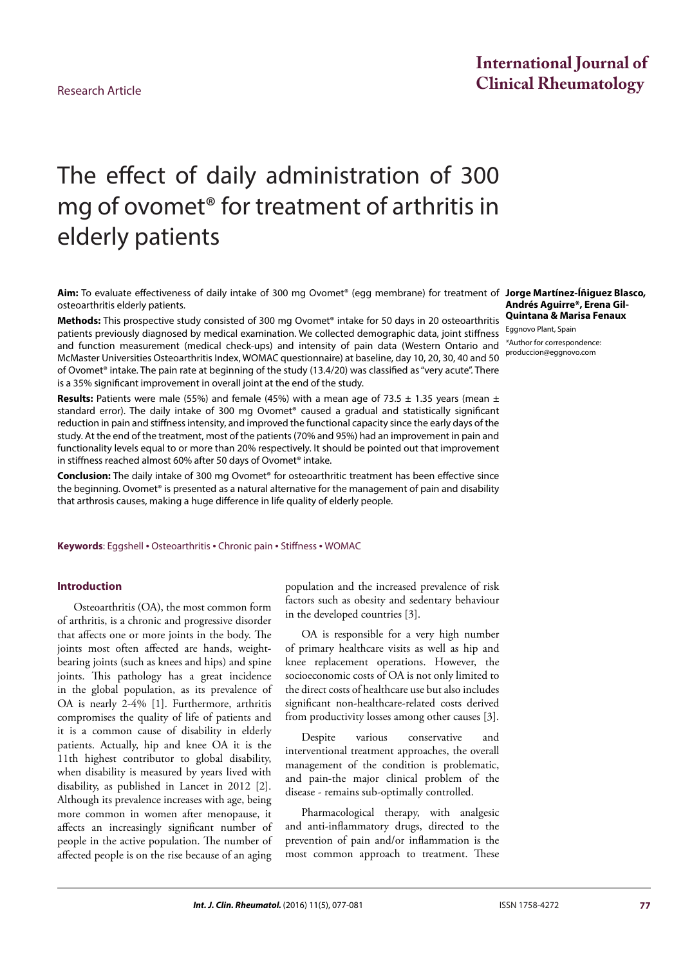## **International Journal of Clinical Rheumatology** Research Article

# The effect of daily administration of 300 mg of ovomet® for treatment of arthritis in elderly patients

**Aim:** To evaluate effectiveness of daily intake of 300 mg Ovomet® (egg membrane) for treatment of **Jorge Martínez-Íñiguez Blasco,**  osteoarthritis elderly patients.

**Methods:** This prospective study consisted of 300 mg Ovomet® intake for 50 days in 20 osteoarthritis patients previously diagnosed by medical examination. We collected demographic data, joint stiffness and function measurement (medical check-ups) and intensity of pain data (Western Ontario and McMaster Universities Osteoarthritis Index, WOMAC questionnaire) at baseline, day 10, 20, 30, 40 and 50 of Ovomet® intake. The pain rate at beginning of the study (13.4/20) was classified as "very acute". There is a 35% significant improvement in overall joint at the end of the study.

**Results:** Patients were male (55%) and female (45%) with a mean age of 73.5  $\pm$  1.35 years (mean  $\pm$ standard error). The daily intake of 300 mg Ovomet® caused a gradual and statistically significant reduction in pain and stiffness intensity, and improved the functional capacity since the early days of the study. At the end of the treatment, most of the patients (70% and 95%) had an improvement in pain and functionality levels equal to or more than 20% respectively. It should be pointed out that improvement in stiffness reached almost 60% after 50 days of Ovomet® intake.

**Conclusion:** The daily intake of 300 mg Ovomet® for osteoarthritic treatment has been effective since the beginning. Ovomet® is presented as a natural alternative for the management of pain and disability that arthrosis causes, making a huge difference in life quality of elderly people.

**Keywords**: Eggshell • Osteoarthritis • Chronic pain • Stiffness • WOMAC

#### **Introduction**

Osteoarthritis (OA), the most common form of arthritis, is a chronic and progressive disorder that affects one or more joints in the body. The joints most often affected are hands, weightbearing joints (such as knees and hips) and spine joints. This pathology has a great incidence in the global population, as its prevalence of OA is nearly 2-4% [1]. Furthermore, arthritis compromises the quality of life of patients and it is a common cause of disability in elderly patients. Actually, hip and knee OA it is the 11th highest contributor to global disability, when disability is measured by years lived with disability, as published in Lancet in 2012 [2]. Although its prevalence increases with age, being more common in women after menopause, it affects an increasingly significant number of people in the active population. The number of affected people is on the rise because of an aging

population and the increased prevalence of risk factors such as obesity and sedentary behaviour in the developed countries [3].

OA is responsible for a very high number of primary healthcare visits as well as hip and knee replacement operations. However, the socioeconomic costs of OA is not only limited to the direct costs of healthcare use but also includes significant non-healthcare-related costs derived from productivity losses among other causes [3].

Despite various conservative interventional treatment approaches, the overall management of the condition is problematic, and pain-the major clinical problem of the disease - remains sub-optimally controlled.

Pharmacological therapy, with analgesic and anti-inflammatory drugs, directed to the prevention of pain and/or inflammation is the most common approach to treatment. These

**Andrés Aguirre\*, Erena Gil-Quintana & Marisa Fenaux**

Eggnovo Plant, Spain *\**Author for correspondence: [produccion@eggnovo.com](mailto:produccion@eggnovo.com)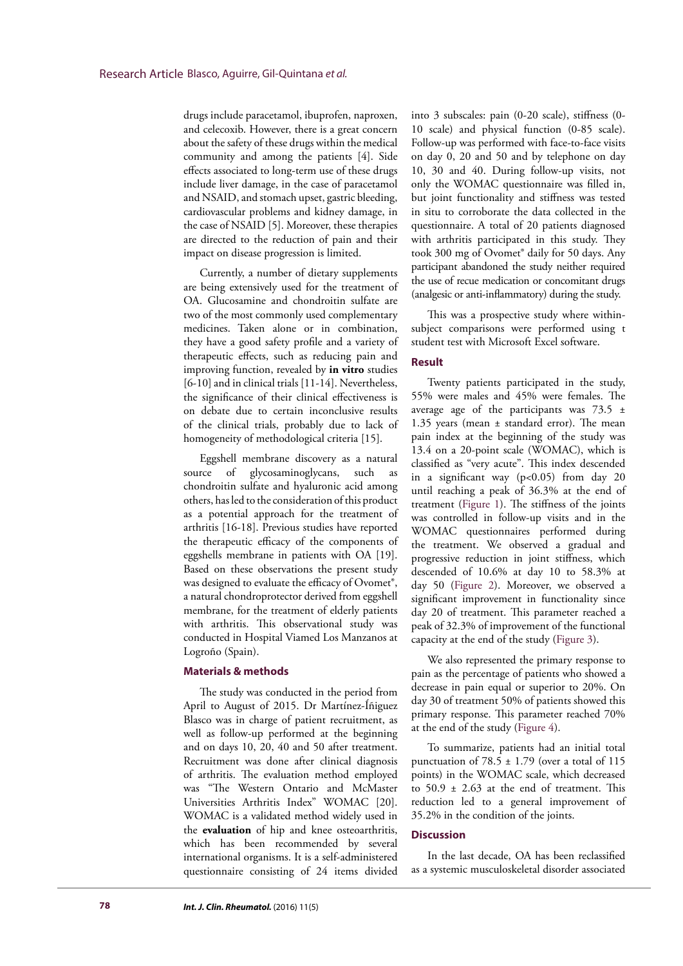drugs include paracetamol, ibuprofen, naproxen, and celecoxib. However, there is a great concern about the safety of these drugs within the medical community and among the patients [4]. Side effects associated to long-term use of these drugs include liver damage, in the case of paracetamol and NSAID, and stomach upset, gastric bleeding, cardiovascular problems and kidney damage, in the case of NSAID [5]. Moreover, these therapies are directed to the reduction of pain and their impact on disease progression is limited.

Currently, a number of dietary supplements are being extensively used for the treatment of OA. Glucosamine and chondroitin sulfate are two of the most commonly used complementary medicines. Taken alone or in combination, they have a good safety profile and a variety of therapeutic effects, such as reducing pain and improving function, revealed by **in vitro** studies [6-10] and in clinical trials [11-14]. Nevertheless, the significance of their clinical effectiveness is on debate due to certain inconclusive results of the clinical trials, probably due to lack of homogeneity of methodological criteria [15].

Eggshell membrane discovery as a natural source of glycosaminoglycans, such as chondroitin sulfate and hyaluronic acid among others, has led to the consideration of this product as a potential approach for the treatment of arthritis [16-18]. Previous studies have reported the therapeutic efficacy of the components of eggshells membrane in patients with OA [19]. Based on these observations the present study was designed to evaluate the efficacy of Ovomet®, a natural chondroprotector derived from eggshell membrane, for the treatment of elderly patients with arthritis. This observational study was conducted in Hospital Viamed Los Manzanos at Logroño (Spain).

#### **Materials & methods**

The study was conducted in the period from April to August of 2015. Dr Martínez-Íñiguez Blasco was in charge of patient recruitment, as well as follow-up performed at the beginning and on days 10, 20, 40 and 50 after treatment. Recruitment was done after clinical diagnosis of arthritis. The evaluation method employed was "The Western Ontario and McMaster Universities Arthritis Index" WOMAC [20]. WOMAC is a validated method widely used in the **evaluation** of hip and knee osteoarthritis, which has been recommended by several international organisms. It is a self-administered questionnaire consisting of 24 items divided into 3 subscales: pain (0-20 scale), stiffness (0- 10 scale) and physical function (0-85 scale). Follow-up was performed with face-to-face visits on day 0, 20 and 50 and by telephone on day 10, 30 and 40. During follow-up visits, not only the WOMAC questionnaire was filled in, but joint functionality and stiffness was tested in situ to corroborate the data collected in the questionnaire. A total of 20 patients diagnosed with arthritis participated in this study. They took 300 mg of Ovomet® daily for 50 days. Any participant abandoned the study neither required the use of recue medication or concomitant drugs (analgesic or anti-inflammatory) during the study.

This was a prospective study where withinsubject comparisons were performed using t student test with Microsoft Excel software.

#### **Result**

Twenty patients participated in the study, 55% were males and 45% were females. The average age of the participants was  $73.5 \pm$ 1.35 years (mean ± standard error). The mean pain index at the beginning of the study was 13.4 on a 20-point scale (WOMAC), which is classified as "very acute". This index descended in a significant way (p<0.05) from day 20 until reaching a peak of 36.3% at the end of treatment (Figure 1). The stiffness of the joints was controlled in follow-up visits and in the WOMAC questionnaires performed during the treatment. We observed a gradual and progressive reduction in joint stiffness, which descended of 10.6% at day 10 to 58.3% at day 50 (Figure 2). Moreover, we observed a significant improvement in functionality since day 20 of treatment. This parameter reached a peak of 32.3% of improvement of the functional capacity at the end of the study (Figure 3).

We also represented the primary response to pain as the percentage of patients who showed a decrease in pain equal or superior to 20%. On day 30 of treatment 50% of patients showed this primary response. This parameter reached 70% at the end of the study (Figure 4).

To summarize, patients had an initial total punctuation of  $78.5 \pm 1.79$  (over a total of 115 points) in the WOMAC scale, which decreased to  $50.9 \pm 2.63$  at the end of treatment. This reduction led to a general improvement of 35.2% in the condition of the joints.

### **Discussion**

In the last decade, OA has been reclassified as a systemic musculoskeletal disorder associated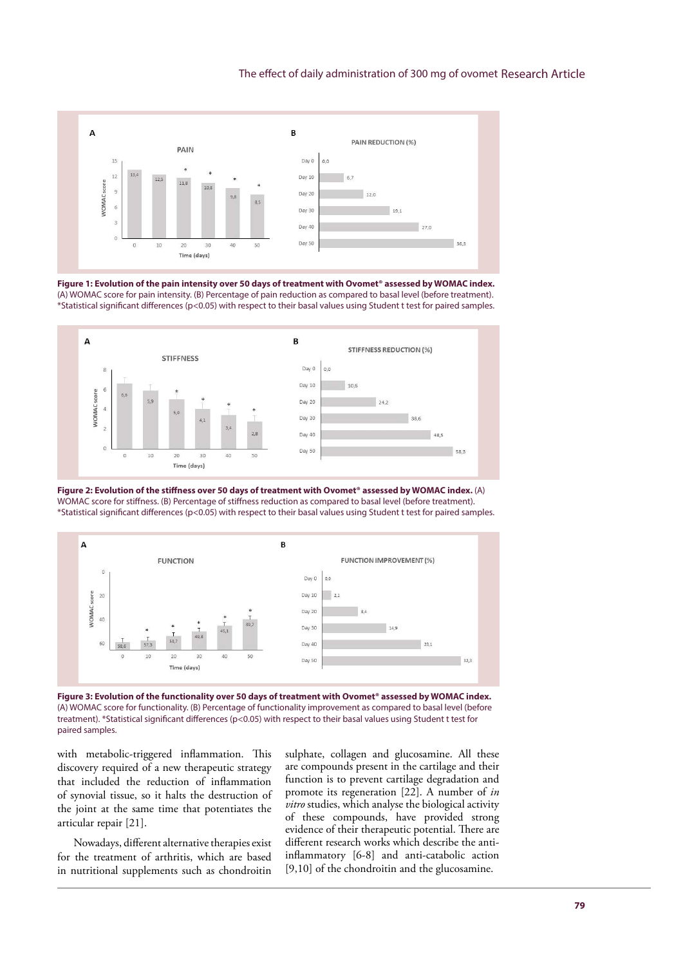#### The effect of daily administration of 300 mg of ovomet Research Article



**Figure 1: Evolution of the pain intensity over 50 days of treatment with Ovomet® assessed by WOMAC index.**  (A) WOMAC score for pain intensity. (B) Percentage of pain reduction as compared to basal level (before treatment). \*Statistical significant differences (p<0.05) with respect to their basal values using Student t test for paired samples.







Figure 3: Evolution of the functionality over 50 days of treatment with Ovomet® assessed by WOMAC index. (A) WOMAC score for functionality. (B) Percentage of functionality improvement as compared to basal level (before treatment). \*Statistical significant differences (p<0.05) with respect to their basal values using Student t test for paired samples.

with metabolic-triggered inflammation. This discovery required of a new therapeutic strategy that included the reduction of inflammation of synovial tissue, so it halts the destruction of the joint at the same time that potentiates the articular repair [21].

Nowadays, different alternative therapies exist for the treatment of arthritis, which are based in nutritional supplements such as chondroitin sulphate, collagen and glucosamine. All these are compounds present in the cartilage and their function is to prevent cartilage degradation and promote its regeneration [22]. A number of *in vitro* studies, which analyse the biological activity of these compounds, have provided strong evidence of their therapeutic potential. There are different research works which describe the antiinflammatory [6-8] and anti-catabolic action [9,10] of the chondroitin and the glucosamine.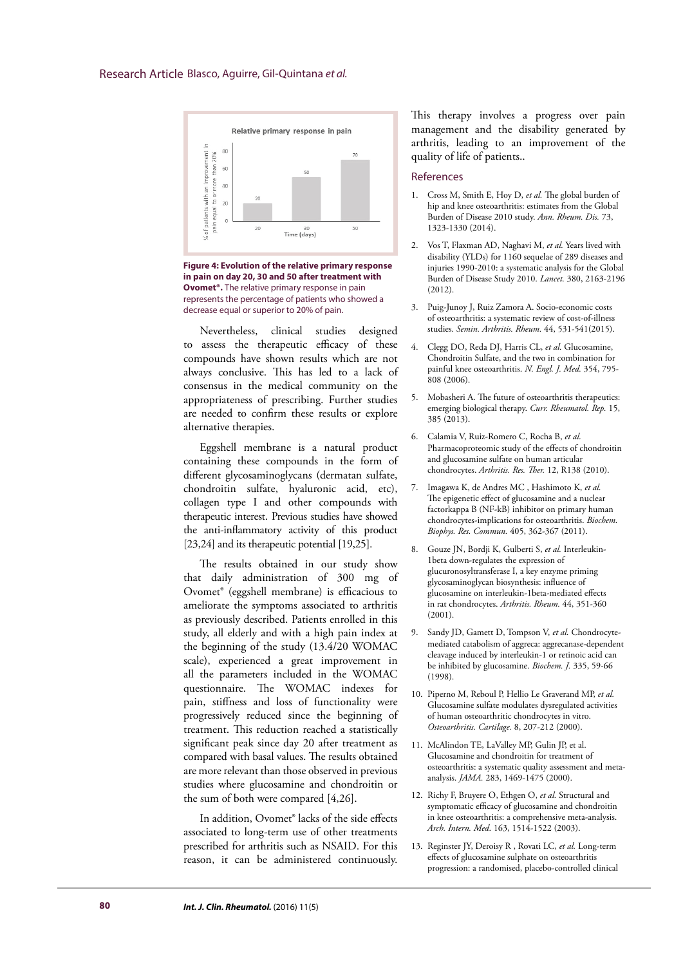

**Figure 4: Evolution of the relative primary response in pain on day 20, 30 and 50 after treatment with Ovomet®.** The relative primary response in pain represents the percentage of patients who showed a decrease equal or superior to 20% of pain.

Nevertheless, clinical studies designed to assess the therapeutic efficacy of these compounds have shown results which are not always conclusive. This has led to a lack of consensus in the medical community on the appropriateness of prescribing. Further studies are needed to confirm these results or explore alternative therapies.

Eggshell membrane is a natural product containing these compounds in the form of different glycosaminoglycans (dermatan sulfate, chondroitin sulfate, hyaluronic acid, etc), collagen type I and other compounds with therapeutic interest. Previous studies have showed the anti-inflammatory activity of this product [23,24] and its therapeutic potential [19,25].

The results obtained in our study show that daily administration of 300 mg of Ovomet® (eggshell membrane) is efficacious to ameliorate the symptoms associated to arthritis as previously described. Patients enrolled in this study, all elderly and with a high pain index at the beginning of the study (13.4/20 WOMAC scale), experienced a great improvement in all the parameters included in the WOMAC questionnaire. The WOMAC indexes for pain, stiffness and loss of functionality were progressively reduced since the beginning of treatment. This reduction reached a statistically significant peak since day 20 after treatment as compared with basal values. The results obtained are more relevant than those observed in previous studies where glucosamine and chondroitin or the sum of both were compared [4,26].

In addition, Ovomet® lacks of the side effects associated to long-term use of other treatments prescribed for arthritis such as NSAID. For this reason, it can be administered continuously. This therapy involves a progress over pain management and the disability generated by arthritis, leading to an improvement of the quality of life of patients..

#### References

- 1. Cross M, Smith E, Hoy D, *et al.* The global burden of hip and knee osteoarthritis: estimates from the Global Burden of Disease 2010 study. *Ann. Rheum. Dis.* 73, 1323-1330 (2014).
- 2. Vos T, Flaxman AD, Naghavi M, *et al.* Years lived with disability (YLDs) for 1160 sequelae of 289 diseases and injuries 1990-2010: a systematic analysis for the Global Burden of Disease Study 2010. *Lancet.* 380, 2163-2196 (2012).
- 3. Puig-Junoy J, Ruiz Zamora A. Socio-economic costs of osteoarthritis: a systematic review of cost-of-illness studies. *Semin. Arthritis. Rheum.* 44, 531-541(2015).
- 4. Clegg DO, Reda DJ, Harris CL, *et al.* Glucosamine, Chondroitin Sulfate, and the two in combination for painful knee osteoarthritis. *N. Engl. J. Med.* 354, 795- 808 (2006).
- 5. Mobasheri A. The future of osteoarthritis therapeutics: emerging biological therapy. *Curr. Rheumatol. Rep.* 15, 385 (2013).
- 6. Calamia V, Ruiz-Romero C, Rocha B, *et al.* Pharmacoproteomic study of the effects of chondroitin and glucosamine sulfate on human articular chondrocytes. *Arthritis. Res. Ther.* 12, R138 (2010).
- 7. Imagawa K, de Andres MC , Hashimoto K, *et al.* The epigenetic effect of glucosamine and a nuclear factorkappa B (NF-kB) inhibitor on primary human chondrocytes-implications for osteoarthritis. *Biochem. Biophys. Res. Commun.* 405, 362-367 (2011).
- 8. Gouze JN, Bordji K, Gulberti S, *et al.* Interleukin-1beta down-regulates the expression of glucuronosyltransferase I, a key enzyme priming glycosaminoglycan biosynthesis: influence of glucosamine on interleukin-1beta-mediated effects in rat chondrocytes. *Arthritis. Rheum.* 44, 351-360 (2001).
- 9. Sandy JD, Gamett D, Tompson V, *et al.* Chondrocytemediated catabolism of aggreca: aggrecanase-dependent cleavage induced by interleukin-1 or retinoic acid can be inhibited by glucosamine. *Biochem. J.* 335, 59-66 (1998).
- 10. Piperno M, Reboul P, Hellio Le Graverand MP, *et al.* Glucosamine sulfate modulates dysregulated activities of human osteoarthritic chondrocytes in vitro. *Osteoarthritis. Cartilage.* 8, 207-212 (2000).
- 11. McAlindon TE, LaValley MP, Gulin JP, et al. Glucosamine and chondroitin for treatment of osteoarthritis: a systematic quality assessment and metaanalysis. *JAMA.* 283, 1469-1475 (2000).
- 12. Richy F, Bruyere O, Ethgen O, *et al.* Structural and symptomatic efficacy of glucosamine and chondroitin in knee osteoarthritis: a comprehensive meta-analysis. *Arch. Intern. Med*. 163, 1514-1522 (2003).
- 13. Reginster JY, Deroisy R , Rovati LC, *et al.* Long-term effects of glucosamine sulphate on osteoarthritis progression: a randomised, placebo-controlled clinical